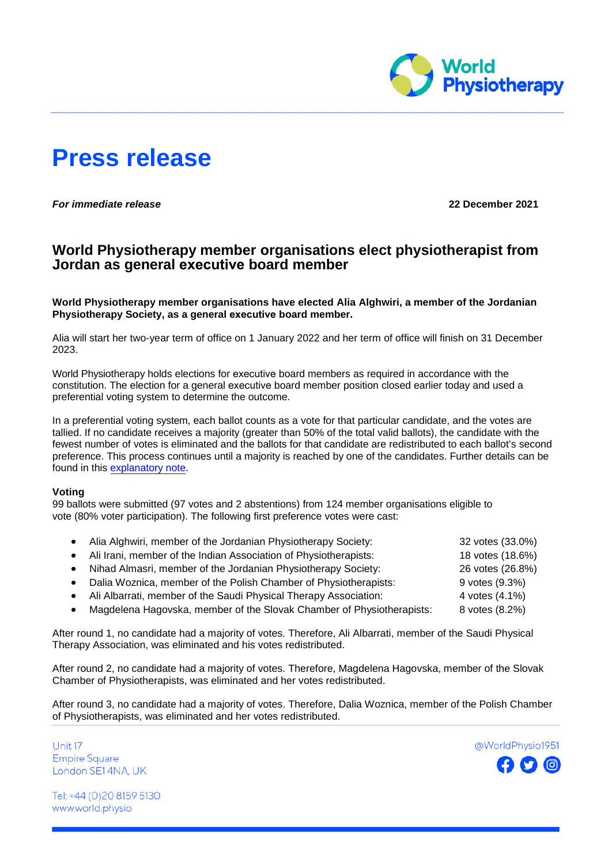

# **Press release**

*For immediate release* **22 December 2021**

## **World Physiotherapy member organisations elect physiotherapist from Jordan as general executive board member**

**World Physiotherapy member organisations have elected Alia Alghwiri, a member of the Jordanian Physiotherapy Society, as a general executive board member.** 

Alia will start her two-year term of office on 1 January 2022 and her term of office will finish on 31 December 2023.

World Physiotherapy holds elections for executive board members as required in accordance with the constitution. The election for a general executive board member position closed earlier today and used a preferential voting system to determine the outcome.

In a preferential voting system, each ballot counts as a vote for that particular candidate, and the votes are tallied. If no candidate receives a majority (greater than 50% of the total valid ballots), the candidate with the fewest number of votes is eliminated and the ballots for that candidate are redistributed to each ballot's second preference. This process continues until a majority is reached by one of the candidates. Further details can be found in this [explanatory note.](https://support.electionbuddy.com/en/articles/5146830-preferential-voting)

### **Voting**

99 ballots were submitted (97 votes and 2 abstentions) from 124 member organisations eligible to vote (80% voter participation). The following first preference votes were cast:

|           | Alia Alghwiri, member of the Jordanian Physiotherapy Society:         | 32 votes (33.0%) |
|-----------|-----------------------------------------------------------------------|------------------|
|           | Ali Irani, member of the Indian Association of Physiotherapists:      | 18 votes (18.6%) |
|           | Nihad Almasri, member of the Jordanian Physiotherapy Society:         | 26 votes (26.8%) |
| $\bullet$ | Dalia Woznica, member of the Polish Chamber of Physiotherapists:      | 9 votes (9.3%)   |
|           | Ali Albarrati, member of the Saudi Physical Therapy Association:      | 4 votes (4.1%)   |
| $\bullet$ | Magdelena Hagovska, member of the Slovak Chamber of Physiotherapists: | 8 votes (8.2%)   |
|           |                                                                       |                  |

After round 1, no candidate had a majority of votes. Therefore, Ali Albarrati, member of the Saudi Physical Therapy Association, was eliminated and his votes redistributed.

After round 2, no candidate had a majority of votes. Therefore, Magdelena Hagovska, member of the Slovak Chamber of Physiotherapists, was eliminated and her votes redistributed.

After round 3, no candidate had a majority of votes. Therefore, Dalia Woznica, member of the Polish Chamber of Physiotherapists, was eliminated and her votes redistributed.

Unit 17 **Empire Square** London SE14NA, UK



Tel: +44 (0)20 8159 5130 www.world.physio